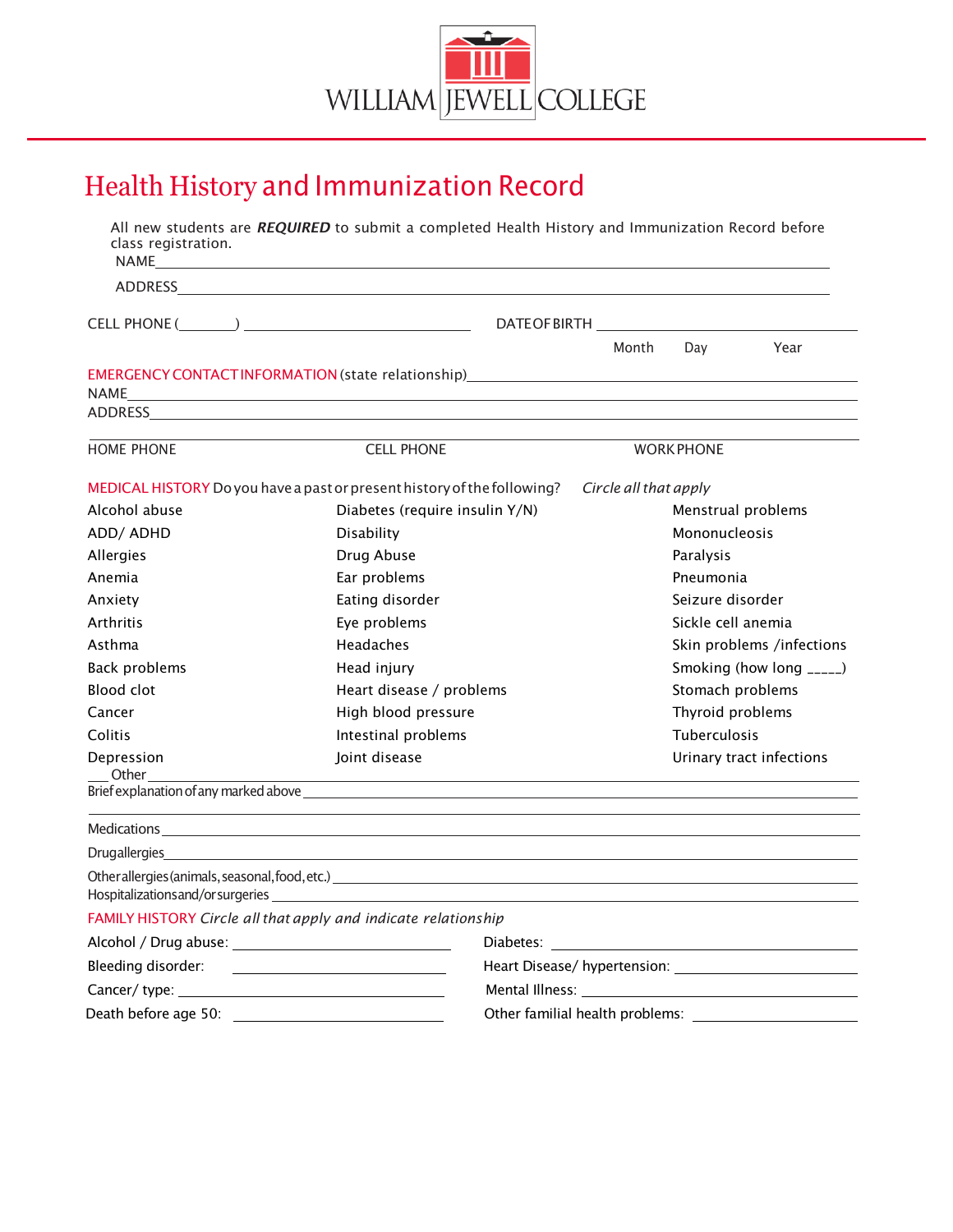

# Health History and Immunization Record

| class registration.                                                     | All new students are REQUIRED to submit a completed Health History and Immunization Record before                                                                                                                                                                                                                                                                                                                                                                       |                                                                             |  |                       |                           |      |  |
|-------------------------------------------------------------------------|-------------------------------------------------------------------------------------------------------------------------------------------------------------------------------------------------------------------------------------------------------------------------------------------------------------------------------------------------------------------------------------------------------------------------------------------------------------------------|-----------------------------------------------------------------------------|--|-----------------------|---------------------------|------|--|
|                                                                         | NAME <u>stade and the contract of the contract of the contract of the contract of the contract of the contract of the contract of the contract of the contract of the contract of the contract of the contract of the contract of</u><br>ADDRESS AND ALL AND A CONTROL AND A CONTROL AND A CONTROL AND A CONTROL AND A CONTROL AND A CONTROL AND A CONTROL AND A CONTROL AND A CONTROL AND A CONTROL AND A CONTROL AND A CONTROL AND A CONTROL AND A CONTROL AND A CONT |                                                                             |  |                       |                           |      |  |
|                                                                         |                                                                                                                                                                                                                                                                                                                                                                                                                                                                         |                                                                             |  |                       |                           |      |  |
|                                                                         |                                                                                                                                                                                                                                                                                                                                                                                                                                                                         |                                                                             |  |                       |                           |      |  |
|                                                                         |                                                                                                                                                                                                                                                                                                                                                                                                                                                                         |                                                                             |  | Month                 | Day                       | Year |  |
|                                                                         |                                                                                                                                                                                                                                                                                                                                                                                                                                                                         |                                                                             |  |                       |                           |      |  |
|                                                                         |                                                                                                                                                                                                                                                                                                                                                                                                                                                                         |                                                                             |  |                       |                           |      |  |
|                                                                         | ADDRESS AND ARREST AND A CONTROL OF THE CONTRACT OF THE CONTRACT OF THE CONTRACT OF THE CONTRACT OF THE CONTRACT OF THE CONTRACT OF THE CONTRACT OF THE CONTRACT OF THE CONTRACT OF THE CONTRACT OF THE CONTRACT OF THE CONTRA                                                                                                                                                                                                                                          |                                                                             |  |                       |                           |      |  |
| <b>HOME PHONE</b>                                                       |                                                                                                                                                                                                                                                                                                                                                                                                                                                                         | <b>CELL PHONE</b>                                                           |  |                       | <b>WORK PHONE</b>         |      |  |
| MEDICAL HISTORY Do you have a past or present history of the following? |                                                                                                                                                                                                                                                                                                                                                                                                                                                                         |                                                                             |  | Circle all that apply |                           |      |  |
| Alcohol abuse                                                           |                                                                                                                                                                                                                                                                                                                                                                                                                                                                         | Diabetes (require insulin Y/N)                                              |  |                       | Menstrual problems        |      |  |
| ADD/ ADHD                                                               |                                                                                                                                                                                                                                                                                                                                                                                                                                                                         | Disability                                                                  |  |                       | Mononucleosis             |      |  |
| Allergies                                                               |                                                                                                                                                                                                                                                                                                                                                                                                                                                                         | Drug Abuse                                                                  |  |                       | Paralysis                 |      |  |
| Anemia                                                                  |                                                                                                                                                                                                                                                                                                                                                                                                                                                                         | Ear problems                                                                |  |                       | Pneumonia                 |      |  |
| Anxiety                                                                 |                                                                                                                                                                                                                                                                                                                                                                                                                                                                         | Eating disorder                                                             |  |                       | Seizure disorder          |      |  |
| Arthritis                                                               |                                                                                                                                                                                                                                                                                                                                                                                                                                                                         | Eye problems                                                                |  |                       | Sickle cell anemia        |      |  |
| Asthma                                                                  |                                                                                                                                                                                                                                                                                                                                                                                                                                                                         | Headaches                                                                   |  |                       | Skin problems /infections |      |  |
| <b>Back problems</b>                                                    |                                                                                                                                                                                                                                                                                                                                                                                                                                                                         | Head injury                                                                 |  |                       | Smoking (how long _____)  |      |  |
| Blood clot                                                              |                                                                                                                                                                                                                                                                                                                                                                                                                                                                         | Heart disease / problems                                                    |  | Stomach problems      |                           |      |  |
| Cancer                                                                  |                                                                                                                                                                                                                                                                                                                                                                                                                                                                         | High blood pressure                                                         |  | Thyroid problems      |                           |      |  |
| Colitis                                                                 |                                                                                                                                                                                                                                                                                                                                                                                                                                                                         | Intestinal problems                                                         |  | Tuberculosis          |                           |      |  |
| Depression<br>Other                                                     |                                                                                                                                                                                                                                                                                                                                                                                                                                                                         | Joint disease<br><u> 1989 - Johann Stoff, amerikansk politiker (* 1908)</u> |  |                       | Urinary tract infections  |      |  |
|                                                                         |                                                                                                                                                                                                                                                                                                                                                                                                                                                                         |                                                                             |  |                       |                           |      |  |
|                                                                         |                                                                                                                                                                                                                                                                                                                                                                                                                                                                         |                                                                             |  |                       |                           |      |  |
| <b>Drugallergies</b>                                                    |                                                                                                                                                                                                                                                                                                                                                                                                                                                                         |                                                                             |  |                       |                           |      |  |
|                                                                         |                                                                                                                                                                                                                                                                                                                                                                                                                                                                         |                                                                             |  |                       |                           |      |  |
|                                                                         | FAMILY HISTORY Circle all that apply and indicate relationship                                                                                                                                                                                                                                                                                                                                                                                                          |                                                                             |  |                       |                           |      |  |
|                                                                         |                                                                                                                                                                                                                                                                                                                                                                                                                                                                         |                                                                             |  |                       |                           |      |  |
| Bleeding disorder:                                                      | <u> 1980 - Andrea Andrew Maria (h. 1976).</u>                                                                                                                                                                                                                                                                                                                                                                                                                           |                                                                             |  |                       |                           |      |  |
|                                                                         |                                                                                                                                                                                                                                                                                                                                                                                                                                                                         |                                                                             |  |                       |                           |      |  |
|                                                                         |                                                                                                                                                                                                                                                                                                                                                                                                                                                                         |                                                                             |  |                       |                           |      |  |
|                                                                         |                                                                                                                                                                                                                                                                                                                                                                                                                                                                         |                                                                             |  |                       |                           |      |  |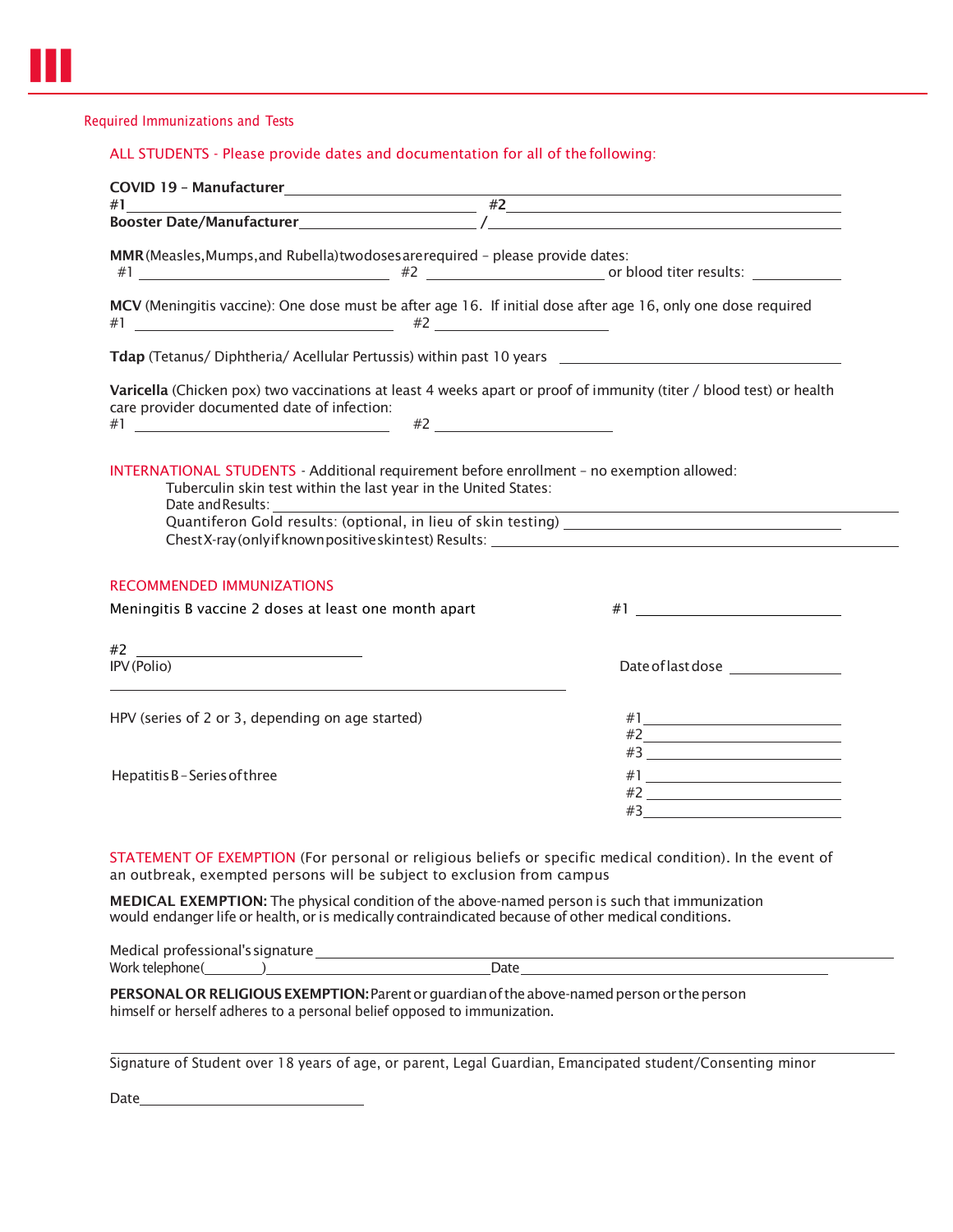#### Required Immunizations and Tests

## ALL STUDENTS - Please provide dates and documentation for all of the following:

|                                                                                                                                                                    | $#1$ $#2$                                                                                                                                                                                                                         |  |  |  |  |
|--------------------------------------------------------------------------------------------------------------------------------------------------------------------|-----------------------------------------------------------------------------------------------------------------------------------------------------------------------------------------------------------------------------------|--|--|--|--|
|                                                                                                                                                                    |                                                                                                                                                                                                                                   |  |  |  |  |
| MMR (Measles, Mumps, and Rubella) twodoses are required - please provide dates:                                                                                    |                                                                                                                                                                                                                                   |  |  |  |  |
| MCV (Meningitis vaccine): One dose must be after age 16. If initial dose after age 16, only one dose required                                                      |                                                                                                                                                                                                                                   |  |  |  |  |
|                                                                                                                                                                    |                                                                                                                                                                                                                                   |  |  |  |  |
| Varicella (Chicken pox) two vaccinations at least 4 weeks apart or proof of immunity (titer / blood test) or health<br>care provider documented date of infection: |                                                                                                                                                                                                                                   |  |  |  |  |
|                                                                                                                                                                    |                                                                                                                                                                                                                                   |  |  |  |  |
| INTERNATIONAL STUDENTS - Additional requirement before enrollment - no exemption allowed:<br>Tuberculin skin test within the last year in the United States:       |                                                                                                                                                                                                                                   |  |  |  |  |
| Date and Results:                                                                                                                                                  |                                                                                                                                                                                                                                   |  |  |  |  |
|                                                                                                                                                                    |                                                                                                                                                                                                                                   |  |  |  |  |
|                                                                                                                                                                    |                                                                                                                                                                                                                                   |  |  |  |  |
| <b>RECOMMENDED IMMUNIZATIONS</b>                                                                                                                                   |                                                                                                                                                                                                                                   |  |  |  |  |
| Meningitis B vaccine 2 doses at least one month apart                                                                                                              |                                                                                                                                                                                                                                   |  |  |  |  |
|                                                                                                                                                                    | $\#1$ <u>and</u> the set of the set of the set of the set of the set of the set of the set of the set of the set of the set of the set of the set of the set of the set of the set of the set of the set of the set of the set of |  |  |  |  |
| IPV (Polio)                                                                                                                                                        |                                                                                                                                                                                                                                   |  |  |  |  |
|                                                                                                                                                                    |                                                                                                                                                                                                                                   |  |  |  |  |
| HPV (series of 2 or 3, depending on age started)                                                                                                                   |                                                                                                                                                                                                                                   |  |  |  |  |
|                                                                                                                                                                    |                                                                                                                                                                                                                                   |  |  |  |  |
|                                                                                                                                                                    | Date of last dose <b>contained</b><br>#2                                                                                                                                                                                          |  |  |  |  |
| Hepatitis B-Series of three                                                                                                                                        |                                                                                                                                                                                                                                   |  |  |  |  |

PERSONAL OR RELIGIOUS EXEMPTION: Parent or guardian of the above-named person or the person himself or herself adheres to a personal belief opposed to immunization.

Signature of Student over 18 years of age, or parent, Legal Guardian, Emancipated student/Consenting minor

Date